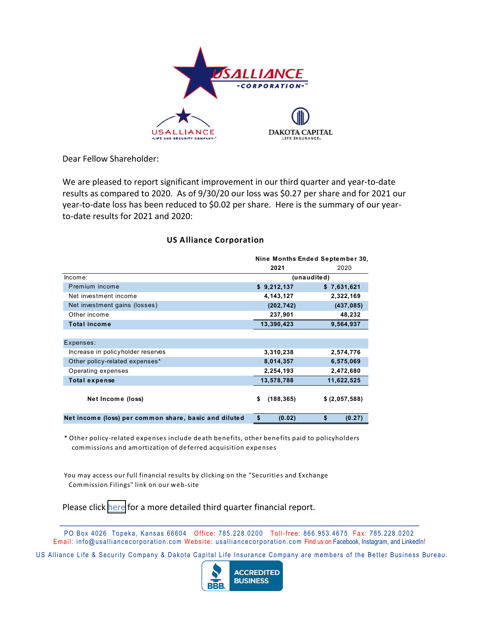

Dear Fellow Shareholder:

We are pleased to report significant improvement in our third quarter and year‐to‐date results as compared to 2020. As of 9/30/20 our loss was \$0.27 per share and for 2021 our year-to-date loss has been reduced to \$0.02 per share. Here is the summary of our yearto‐date results for 2021 and 2020:

## **US Alliance Corporation**

|                                                       | Nine Months Ended September 30, |                |
|-------------------------------------------------------|---------------------------------|----------------|
|                                                       | 2021                            | 2020           |
| lncome:                                               | (unaudited)                     |                |
| Premium income                                        | \$9,212,137                     | \$7,631,621    |
| Net investment income                                 | 4, 143, 127                     | 2,322,169      |
| Net investment gains (losses)                         | (202, 742)                      | (437, 085)     |
| Other income                                          | 237,901                         | 48,232         |
| <b>Total income</b>                                   | 13,390,423                      | 9,564,937      |
|                                                       |                                 |                |
| Expenses:                                             |                                 |                |
| Increase in policyholder reserves                     | 3,310,238                       | 2,574,776      |
| Other policy-related expenses*                        | 8,014,357                       | 6,575,069      |
| Operating expenses                                    | 2,254,193                       | 2,472,680      |
| Total expense                                         | 13,578,788                      | 11,622,525     |
| Net Income (loss)                                     | \$<br>(188, 365)                | \$ (2,057,588) |
| Net income (loss) per common share, basic and diluted | \$<br>(0.02)                    | \$<br>(0.27)   |

\* Other policy‐related expenses include death benefits, other benefits paid to policyholders commissions and amortization of de ferred acquisition expenses

You may access our full financial results by clicking on the "Securities and Exchange Commission Filings" link on our web‐site

Please click [here](https://us-alliance-corporation.ir.rdgfilings.com/) for a more detailed third quarter financial report.

PO Box 4026 Topeka, Kansas 66604 Office: 785.228.0200 Toll-free: 866.953.4675 Fax: 785.228.0202 Email: info@usalliancecorporation.com Website: usalliancecorporation.com Find us on Facebook, Instagram, and LinkedIn!

US Alliance Life & Security Company & Dakota Capital Life Insurance Company are members of the Better Business Bureau.

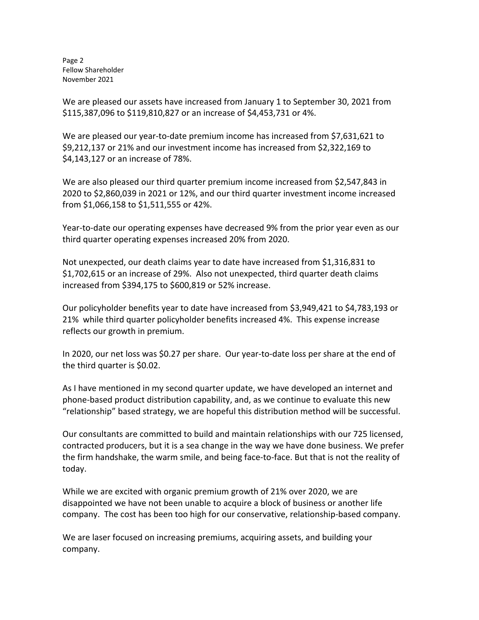Page 2 Fellow Shareholder November 2021

We are pleased our assets have increased from January 1 to September 30, 2021 from \$115,387,096 to \$119,810,827 or an increase of \$4,453,731 or 4%.

We are pleased our year-to-date premium income has increased from \$7,631,621 to \$9,212,137 or 21% and our investment income has increased from \$2,322,169 to \$4,143,127 or an increase of 78%.

We are also pleased our third quarter premium income increased from \$2,547,843 in 2020 to \$2,860,039 in 2021 or 12%, and our third quarter investment income increased from \$1,066,158 to \$1,511,555 or 42%.

Year-to-date our operating expenses have decreased 9% from the prior year even as our third quarter operating expenses increased 20% from 2020.

Not unexpected, our death claims year to date have increased from \$1,316,831 to \$1,702,615 or an increase of 29%. Also not unexpected, third quarter death claims increased from \$394,175 to \$600,819 or 52% increase.

Our policyholder benefits year to date have increased from \$3,949,421 to \$4,783,193 or 21% while third quarter policyholder benefits increased 4%. This expense increase reflects our growth in premium.

In 2020, our net loss was \$0.27 per share. Our year-to-date loss per share at the end of the third quarter is \$0.02.

As I have mentioned in my second quarter update, we have developed an internet and phone‐based product distribution capability, and, as we continue to evaluate this new "relationship" based strategy, we are hopeful this distribution method will be successful.

Our consultants are committed to build and maintain relationships with our 725 licensed, contracted producers, but it is a sea change in the way we have done business. We prefer the firm handshake, the warm smile, and being face‐to‐face. But that is not the reality of today.

While we are excited with organic premium growth of 21% over 2020, we are disappointed we have not been unable to acquire a block of business or another life company. The cost has been too high for our conservative, relationship‐based company.

We are laser focused on increasing premiums, acquiring assets, and building your company.